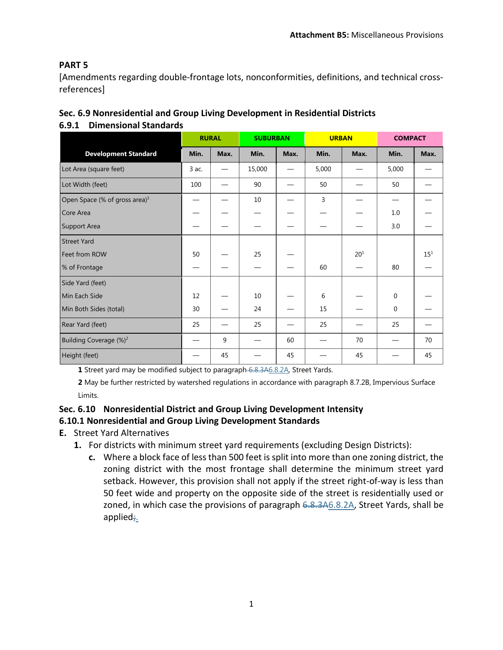## **PART 5**

[Amendments regarding double-frontage lots, nonconformities, definitions, and technical crossreferences]

| Sec. 6.9 Nonresidential and Group Living Development in Residential Districts |  |
|-------------------------------------------------------------------------------|--|
|-------------------------------------------------------------------------------|--|

## **6.9.1 Dimensional Standards**

|                                           | <b>RURAL</b> |      | <b>SUBURBAN</b> |      | <b>URBAN</b> |          | <b>COMPACT</b> |          |
|-------------------------------------------|--------------|------|-----------------|------|--------------|----------|----------------|----------|
| <b>Development Standard</b>               | Min.         | Max. | Min.            | Max. | Min.         | Max.     | Min.           | Max.     |
| Lot Area (square feet)                    | 3 ac.        |      | 15,000          |      | 5,000        |          | 5,000          |          |
| Lot Width (feet)                          | 100          |      | 90              |      | 50           |          | 50             |          |
| Open Space (% of gross area) <sup>1</sup> |              |      | 10              |      | 3            |          |                |          |
| Core Area                                 |              |      |                 |      |              |          | 1.0            |          |
| Support Area                              |              |      |                 |      |              |          | 3.0            |          |
| <b>Street Yard</b>                        |              |      |                 |      |              |          |                |          |
| Feet from ROW                             | 50           |      | 25              |      |              | $20^{1}$ |                | $15^{1}$ |
| % of Frontage                             |              |      |                 |      | 60           |          | 80             |          |
| Side Yard (feet)                          |              |      |                 |      |              |          |                |          |
| Min Each Side                             | 12           |      | 10              |      | 6            |          | $\Omega$       |          |
| Min Both Sides (total)                    | 30           |      | 24              |      | 15           |          | $\mathbf{0}$   |          |
| Rear Yard (feet)                          | 25           |      | 25              |      | 25           |          | 25             |          |
| Building Coverage (%) <sup>2</sup>        |              | 9    |                 | 60   |              | 70       |                | 70       |
| Height (feet)                             |              | 45   |                 | 45   |              | 45       |                | 45       |

**1** Street yard may be modified subject to paragraph 6.8.3A6.8.2A, Street Yards.

**2** May be further restricted by watershed regulations in accordance with paragraph 8.7.2B, Impervious Surface Limits.

# **Sec. 6.10 Nonresidential District and Group Living Development Intensity**

#### **6.10.1 Nonresidential and Group Living Development Standards**

- **E.** Street Yard Alternatives
	- **1.** For districts with minimum street yard requirements (excluding Design Districts):
		- **c.** Where a block face of less than 500 feet is split into more than one zoning district, the zoning district with the most frontage shall determine the minimum street yard setback. However, this provision shall not apply if the street right-of-way is less than 50 feet wide and property on the opposite side of the street is residentially used or zoned, in which case the provisions of paragraph  $6.8.346.8.2A$ , Street Yards, shall be applied;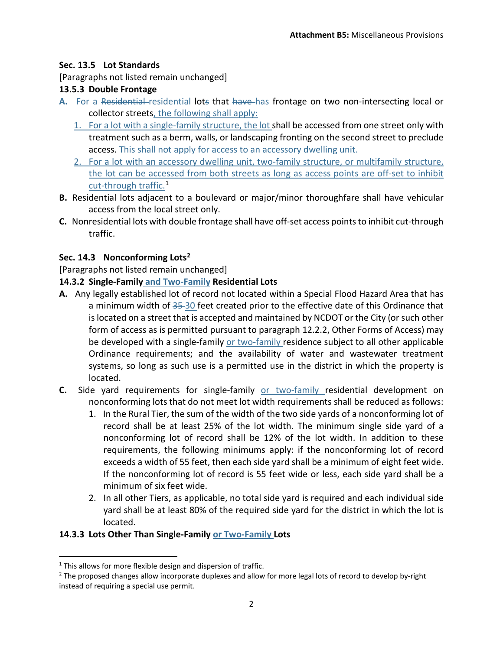#### **Sec. 13.5 Lot Standards**

[Paragraphs not listed remain unchanged]

#### **13.5.3 Double Frontage**

- **A.** For a Residential residential lots that have has frontage on two non-intersecting local or collector streets, the following shall apply:
	- 1. For a lot with a single-family structure, the lot shall be accessed from one street only with treatment such as a berm, walls, or landscaping fronting on the second street to preclude access. This shall not apply for access to an accessory dwelling unit.
	- 2. For a lot with an accessory dwelling unit, two-family structure, or multifamily structure, the lot can be accessed from both streets as long as access points are off-set to inhibit cut-through traffic[.1](#page-1-0)
- **B.** Residential lots adjacent to a boulevard or major/minor thoroughfare shall have vehicular access from the local street only.
- **C.** Nonresidential lots with double frontage shall have off-set access points to inhibit cut-through traffic.

## **Sec. 14.3 Nonconforming Lots[2](#page-1-1)**

[Paragraphs not listed remain unchanged]

#### **14.3.2 Single-Family and Two-Family Residential Lots**

- **A.** Any legally established lot of record not located within a Special Flood Hazard Area that has a minimum width of 35-30 feet created prior to the effective date of this Ordinance that is located on a street that is accepted and maintained by NCDOT or the City (or such other form of access as is permitted pursuant to paragraph 12.2.2, Other Forms of Access) may be developed with a single-family or two-family residence subject to all other applicable Ordinance requirements; and the availability of water and wastewater treatment systems, so long as such use is a permitted use in the district in which the property is located.
- **C.** Side yard requirements for single-family or two-family residential development on nonconforming lots that do not meet lot width requirements shall be reduced as follows:
	- 1. In the Rural Tier, the sum of the width of the two side yards of a nonconforming lot of record shall be at least 25% of the lot width. The minimum single side yard of a nonconforming lot of record shall be 12% of the lot width. In addition to these requirements, the following minimums apply: if the nonconforming lot of record exceeds a width of 55 feet, then each side yard shall be a minimum of eight feet wide. If the nonconforming lot of record is 55 feet wide or less, each side yard shall be a minimum of six feet wide.
	- 2. In all other Tiers, as applicable, no total side yard is required and each individual side yard shall be at least 80% of the required side yard for the district in which the lot is located.

#### **14.3.3 Lots Other Than Single-Family or Two-Family Lots**

<span id="page-1-0"></span> $1$ <sup>1</sup> This allows for more flexible design and dispersion of traffic.

<span id="page-1-1"></span><sup>&</sup>lt;sup>2</sup> The proposed changes allow incorporate duplexes and allow for more legal lots of record to develop by-right instead of requiring a special use permit.